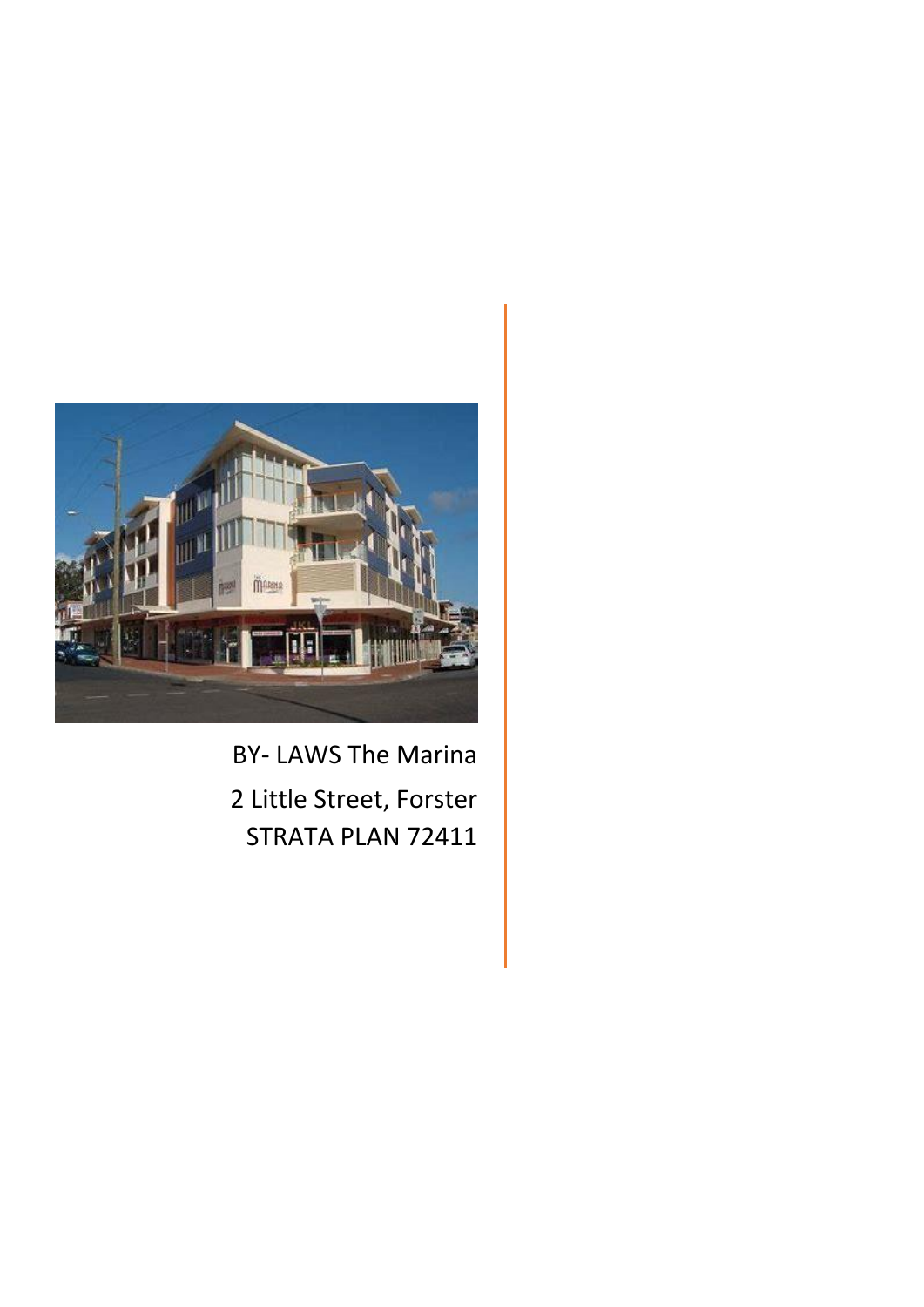

BY- LAWS The Marina 2 Little Street, Forster STRATA PLAN 72411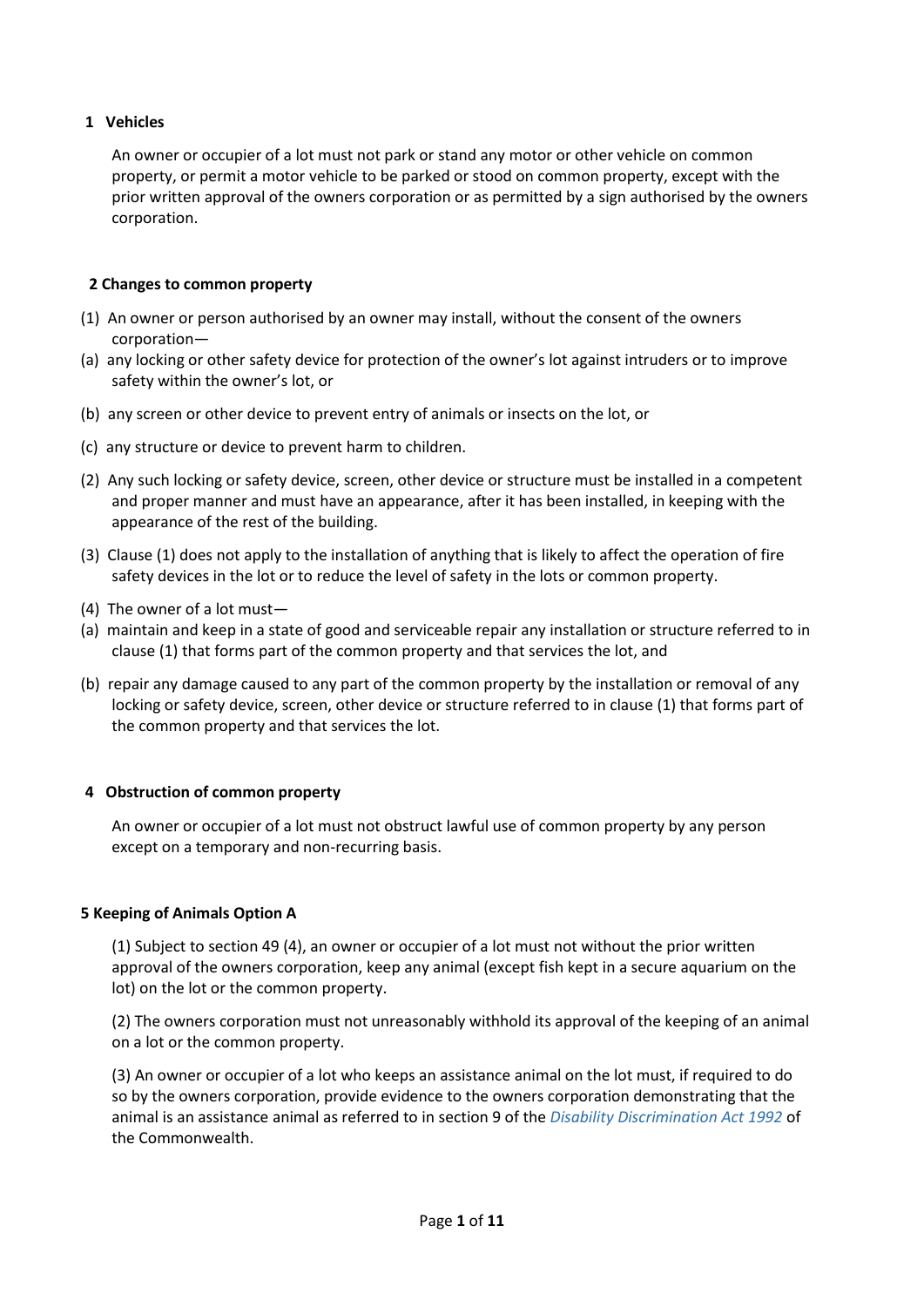# **1 Vehicles**

An owner or occupier of a lot must not park or stand any motor or other vehicle on common property, or permit a motor vehicle to be parked or stood on common property, except with the prior written approval of the owners corporation or as permitted by a sign authorised by the owners corporation.

### **2 Changes to common property**

- (1) An owner or person authorised by an owner may install, without the consent of the owners corporation—
- (a) any locking or other safety device for protection of the owner's lot against intruders or to improve safety within the owner's lot, or
- (b) any screen or other device to prevent entry of animals or insects on the lot, or
- (c) any structure or device to prevent harm to children.
- (2) Any such locking or safety device, screen, other device or structure must be installed in a competent and proper manner and must have an appearance, after it has been installed, in keeping with the appearance of the rest of the building.
- (3) Clause (1) does not apply to the installation of anything that is likely to affect the operation of fire safety devices in the lot or to reduce the level of safety in the lots or common property.
- (4) The owner of a lot must—
- (a) maintain and keep in a state of good and serviceable repair any installation or structure referred to in clause (1) that forms part of the common property and that services the lot, and
- (b) repair any damage caused to any part of the common property by the installation or removal of any locking or safety device, screen, other device or structure referred to in clause (1) that forms part of the common property and that services the lot.

### **4 Obstruction of common property**

An owner or occupier of a lot must not obstruct lawful use of common property by any person except on a temporary and non-recurring basis.

### **5 Keeping of Animals Option A**

(1) Subject to section 49 (4), an owner or occupier of a lot must not without the prior written approval of the owners corporation, keep any animal (except fish kept in a secure aquarium on the lot) on the lot or the common property.

(2) The owners corporation must not unreasonably withhold its approval of the keeping of an animal on a lot or the common property.

(3) An owner or occupier of a lot who keeps an assistance animal on the lot must, if required to do so by the owners corporation, provide evidence to the owners corporation demonstrating that the animal is an assistance animal as referred to in section 9 of the *[Disability Discrimination Act 1992](http://www.legislation.gov.au/)* of the Commonwealth.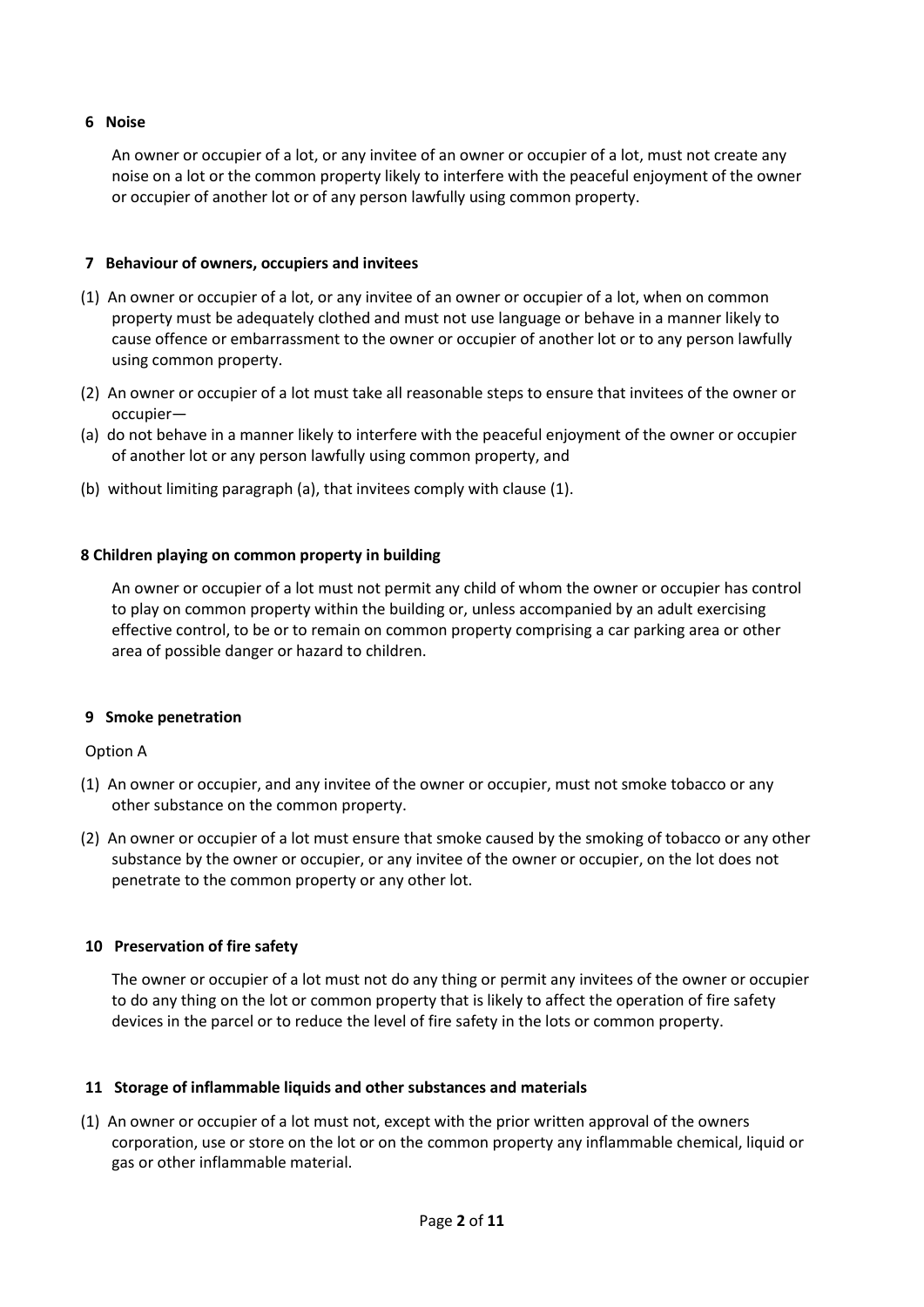# **6 Noise**

An owner or occupier of a lot, or any invitee of an owner or occupier of a lot, must not create any noise on a lot or the common property likely to interfere with the peaceful enjoyment of the owner or occupier of another lot or of any person lawfully using common property.

### **7 Behaviour of owners, occupiers and invitees**

- (1) An owner or occupier of a lot, or any invitee of an owner or occupier of a lot, when on common property must be adequately clothed and must not use language or behave in a manner likely to cause offence or embarrassment to the owner or occupier of another lot or to any person lawfully using common property.
- (2) An owner or occupier of a lot must take all reasonable steps to ensure that invitees of the owner or occupier—
- (a) do not behave in a manner likely to interfere with the peaceful enjoyment of the owner or occupier of another lot or any person lawfully using common property, and
- (b) without limiting paragraph (a), that invitees comply with clause (1).

## **8 Children playing on common property in building**

An owner or occupier of a lot must not permit any child of whom the owner or occupier has control to play on common property within the building or, unless accompanied by an adult exercising effective control, to be or to remain on common property comprising a car parking area or other area of possible danger or hazard to children.

### **9 Smoke penetration**

Option A

- (1) An owner or occupier, and any invitee of the owner or occupier, must not smoke tobacco or any other substance on the common property.
- (2) An owner or occupier of a lot must ensure that smoke caused by the smoking of tobacco or any other substance by the owner or occupier, or any invitee of the owner or occupier, on the lot does not penetrate to the common property or any other lot.

# **10 Preservation of fire safety**

The owner or occupier of a lot must not do any thing or permit any invitees of the owner or occupier to do any thing on the lot or common property that is likely to affect the operation of fire safety devices in the parcel or to reduce the level of fire safety in the lots or common property.

### **11 Storage of inflammable liquids and other substances and materials**

(1) An owner or occupier of a lot must not, except with the prior written approval of the owners corporation, use or store on the lot or on the common property any inflammable chemical, liquid or gas or other inflammable material.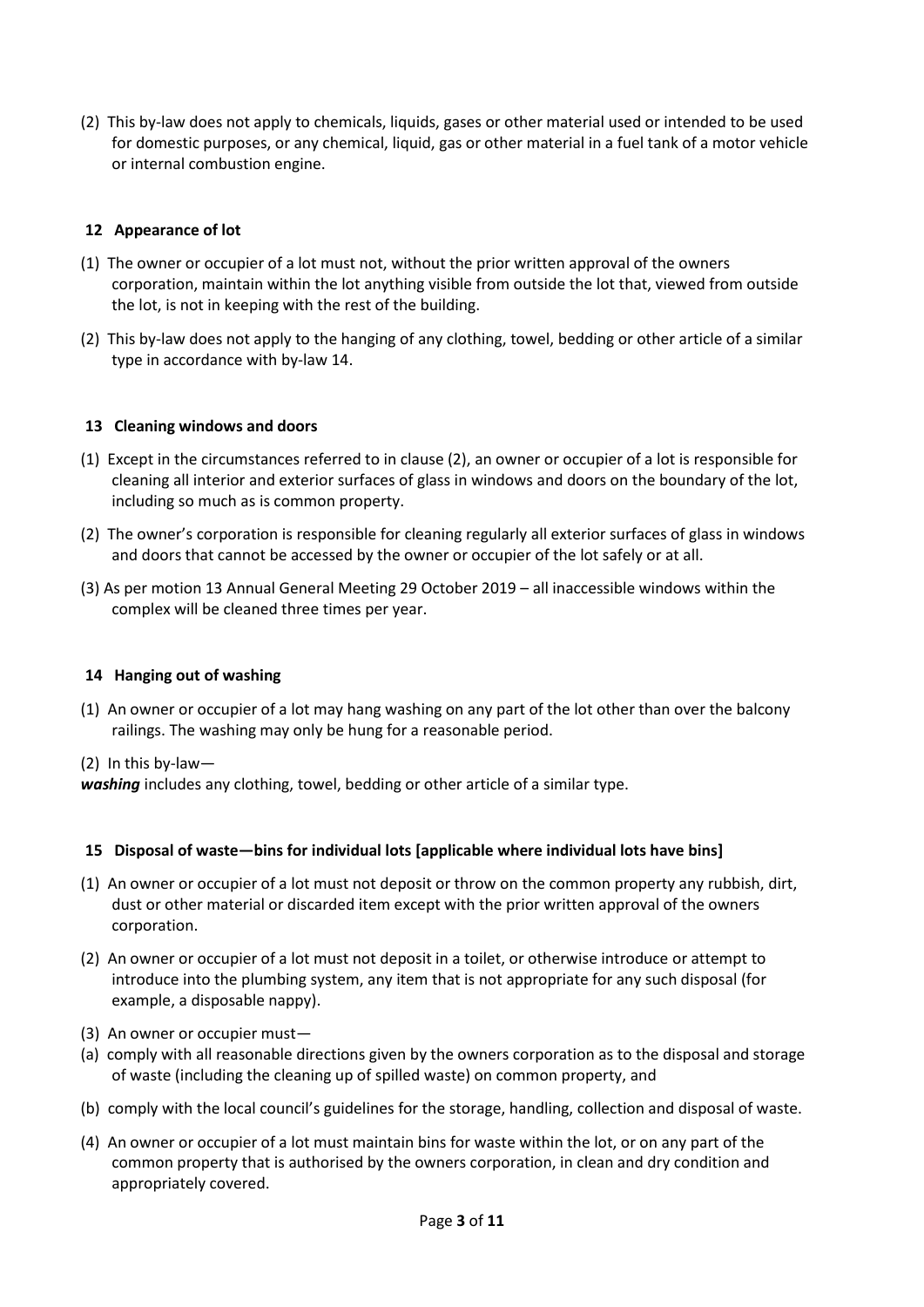(2) This by-law does not apply to chemicals, liquids, gases or other material used or intended to be used for domestic purposes, or any chemical, liquid, gas or other material in a fuel tank of a motor vehicle or internal combustion engine.

# **12 Appearance of lot**

- (1) The owner or occupier of a lot must not, without the prior written approval of the owners corporation, maintain within the lot anything visible from outside the lot that, viewed from outside the lot, is not in keeping with the rest of the building.
- (2) This by-law does not apply to the hanging of any clothing, towel, bedding or other article of a similar type in accordance with by-law 14.

# **13 Cleaning windows and doors**

- (1) Except in the circumstances referred to in clause (2), an owner or occupier of a lot is responsible for cleaning all interior and exterior surfaces of glass in windows and doors on the boundary of the lot, including so much as is common property.
- (2) The owner's corporation is responsible for cleaning regularly all exterior surfaces of glass in windows and doors that cannot be accessed by the owner or occupier of the lot safely or at all.
- (3) As per motion 13 Annual General Meeting 29 October 2019 all inaccessible windows within the complex will be cleaned three times per year.

# **14 Hanging out of washing**

(1) An owner or occupier of a lot may hang washing on any part of the lot other than over the balcony railings. The washing may only be hung for a reasonable period.

(2) In this by-law—

*washing* includes any clothing, towel, bedding or other article of a similar type.

# **15 Disposal of waste—bins for individual lots [applicable where individual lots have bins]**

- (1) An owner or occupier of a lot must not deposit or throw on the common property any rubbish, dirt, dust or other material or discarded item except with the prior written approval of the owners corporation.
- (2) An owner or occupier of a lot must not deposit in a toilet, or otherwise introduce or attempt to introduce into the plumbing system, any item that is not appropriate for any such disposal (for example, a disposable nappy).
- (3) An owner or occupier must—
- (a) comply with all reasonable directions given by the owners corporation as to the disposal and storage of waste (including the cleaning up of spilled waste) on common property, and
- (b) comply with the local council's guidelines for the storage, handling, collection and disposal of waste.
- (4) An owner or occupier of a lot must maintain bins for waste within the lot, or on any part of the common property that is authorised by the owners corporation, in clean and dry condition and appropriately covered.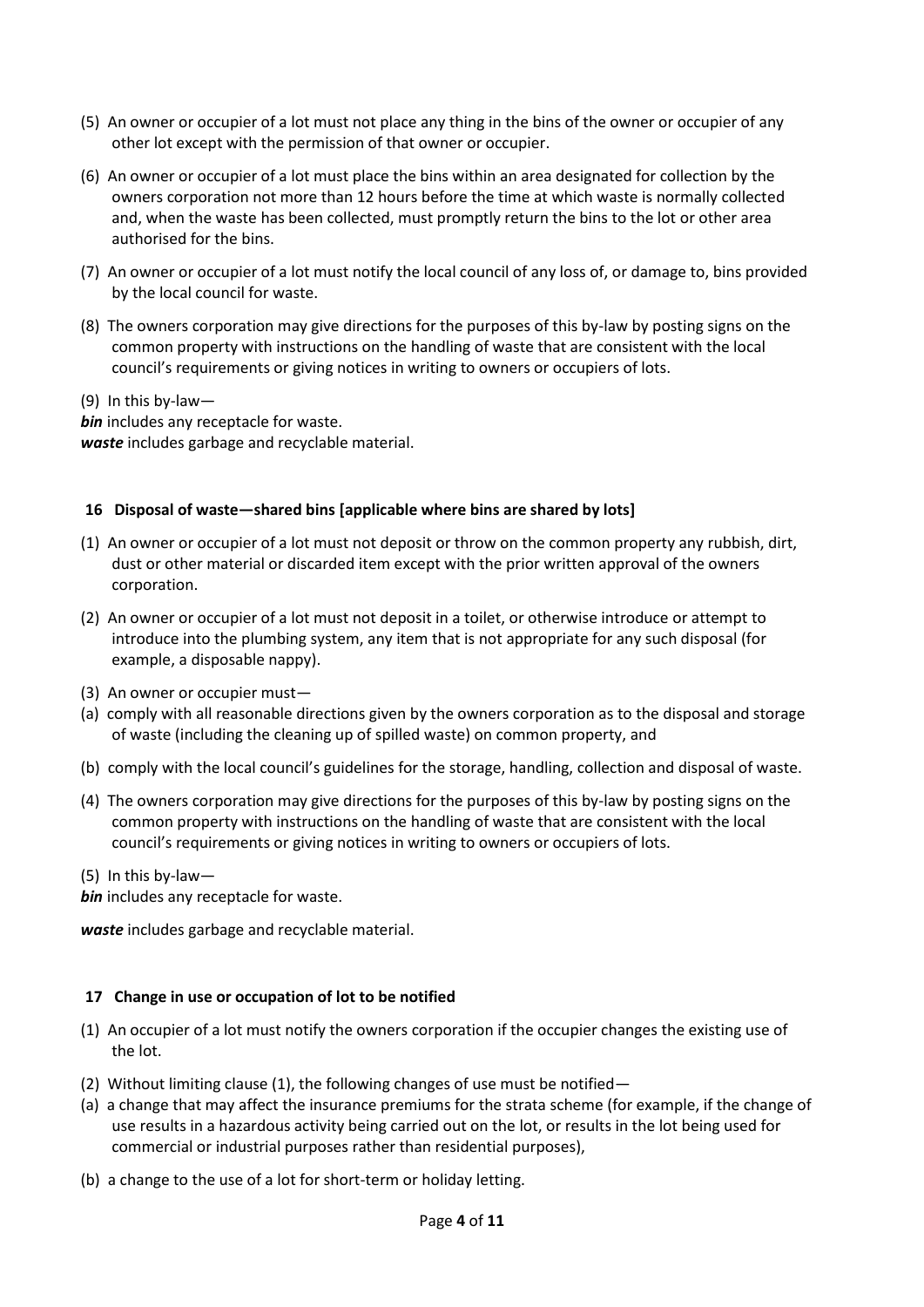- (5) An owner or occupier of a lot must not place any thing in the bins of the owner or occupier of any other lot except with the permission of that owner or occupier.
- (6) An owner or occupier of a lot must place the bins within an area designated for collection by the owners corporation not more than 12 hours before the time at which waste is normally collected and, when the waste has been collected, must promptly return the bins to the lot or other area authorised for the bins.
- (7) An owner or occupier of a lot must notify the local council of any loss of, or damage to, bins provided by the local council for waste.
- (8) The owners corporation may give directions for the purposes of this by-law by posting signs on the common property with instructions on the handling of waste that are consistent with the local council's requirements or giving notices in writing to owners or occupiers of lots.
- (9) In this by-law—

*bin* includes any receptacle for waste. *waste* includes garbage and recyclable material.

# **16 Disposal of waste—shared bins [applicable where bins are shared by lots]**

- (1) An owner or occupier of a lot must not deposit or throw on the common property any rubbish, dirt, dust or other material or discarded item except with the prior written approval of the owners corporation.
- (2) An owner or occupier of a lot must not deposit in a toilet, or otherwise introduce or attempt to introduce into the plumbing system, any item that is not appropriate for any such disposal (for example, a disposable nappy).
- (3) An owner or occupier must—
- (a) comply with all reasonable directions given by the owners corporation as to the disposal and storage of waste (including the cleaning up of spilled waste) on common property, and
- (b) comply with the local council's guidelines for the storage, handling, collection and disposal of waste.
- (4) The owners corporation may give directions for the purposes of this by-law by posting signs on the common property with instructions on the handling of waste that are consistent with the local council's requirements or giving notices in writing to owners or occupiers of lots.
- (5) In this by-law—

*bin* includes any receptacle for waste.

*waste* includes garbage and recyclable material.

# **17 Change in use or occupation of lot to be notified**

- (1) An occupier of a lot must notify the owners corporation if the occupier changes the existing use of the lot.
- (2) Without limiting clause (1), the following changes of use must be notified—
- (a) a change that may affect the insurance premiums for the strata scheme (for example, if the change of use results in a hazardous activity being carried out on the lot, or results in the lot being used for commercial or industrial purposes rather than residential purposes),
- (b) a change to the use of a lot for short-term or holiday letting.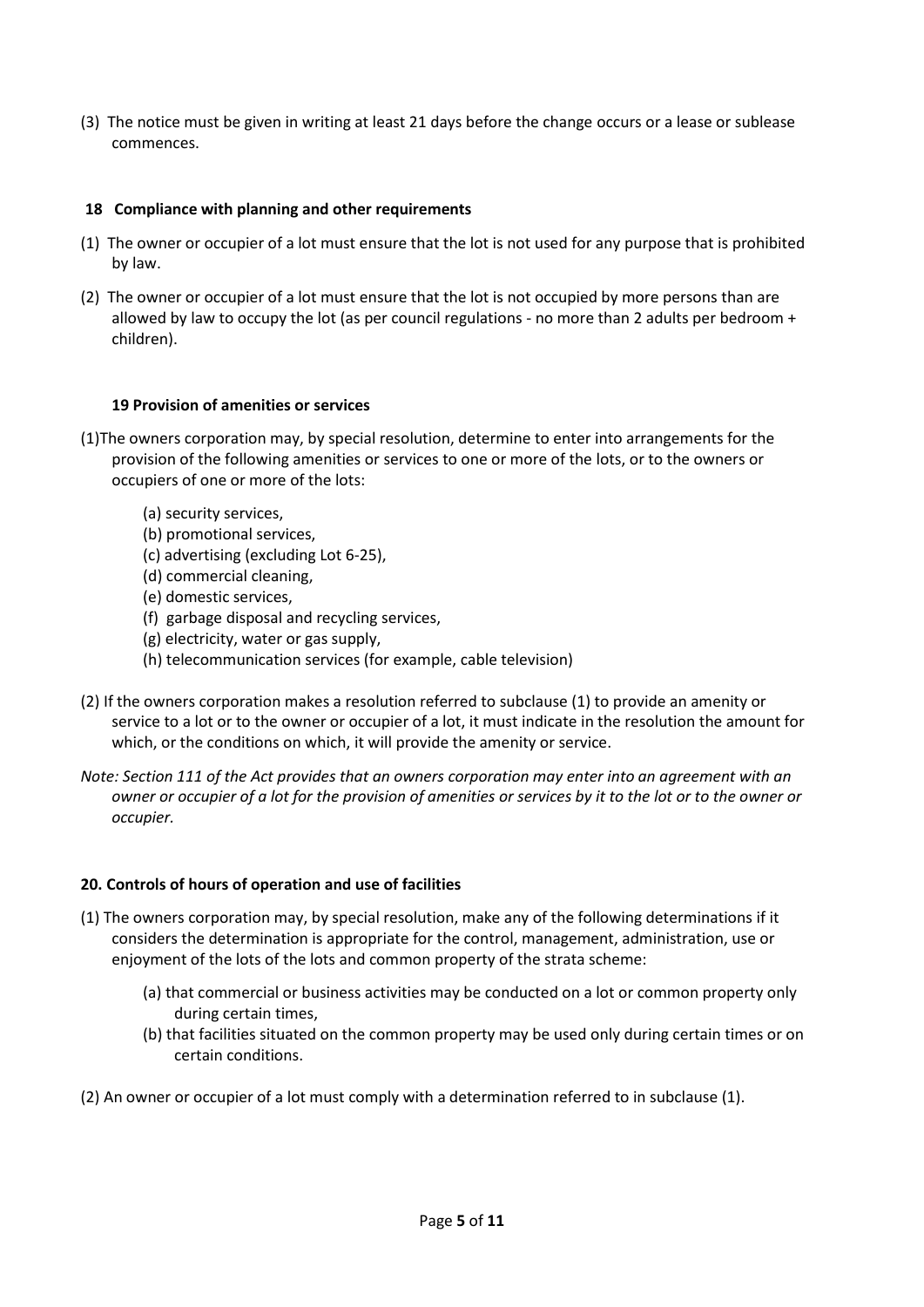(3) The notice must be given in writing at least 21 days before the change occurs or a lease or sublease commences.

## **18 Compliance with planning and other requirements**

- (1) The owner or occupier of a lot must ensure that the lot is not used for any purpose that is prohibited by law.
- (2) The owner or occupier of a lot must ensure that the lot is not occupied by more persons than are allowed by law to occupy the lot (as per council regulations - no more than 2 adults per bedroom + children).

## **19 Provision of amenities or services**

- (1)The owners corporation may, by special resolution, determine to enter into arrangements for the provision of the following amenities or services to one or more of the lots, or to the owners or occupiers of one or more of the lots:
	- (a) security services,
	- (b) promotional services,
	- (c) advertising (excluding Lot 6-25),
	- (d) commercial cleaning,
	- (e) domestic services,
	- (f) garbage disposal and recycling services,
	- (g) electricity, water or gas supply,
	- (h) telecommunication services (for example, cable television)
- (2) If the owners corporation makes a resolution referred to subclause (1) to provide an amenity or service to a lot or to the owner or occupier of a lot, it must indicate in the resolution the amount for which, or the conditions on which, it will provide the amenity or service.
- *Note: Section 111 of the Act provides that an owners corporation may enter into an agreement with an owner or occupier of a lot for the provision of amenities or services by it to the lot or to the owner or occupier.*

### **20. Controls of hours of operation and use of facilities**

- (1) The owners corporation may, by special resolution, make any of the following determinations if it considers the determination is appropriate for the control, management, administration, use or enjoyment of the lots of the lots and common property of the strata scheme:
	- (a) that commercial or business activities may be conducted on a lot or common property only during certain times,
	- (b) that facilities situated on the common property may be used only during certain times or on certain conditions.
- (2) An owner or occupier of a lot must comply with a determination referred to in subclause (1).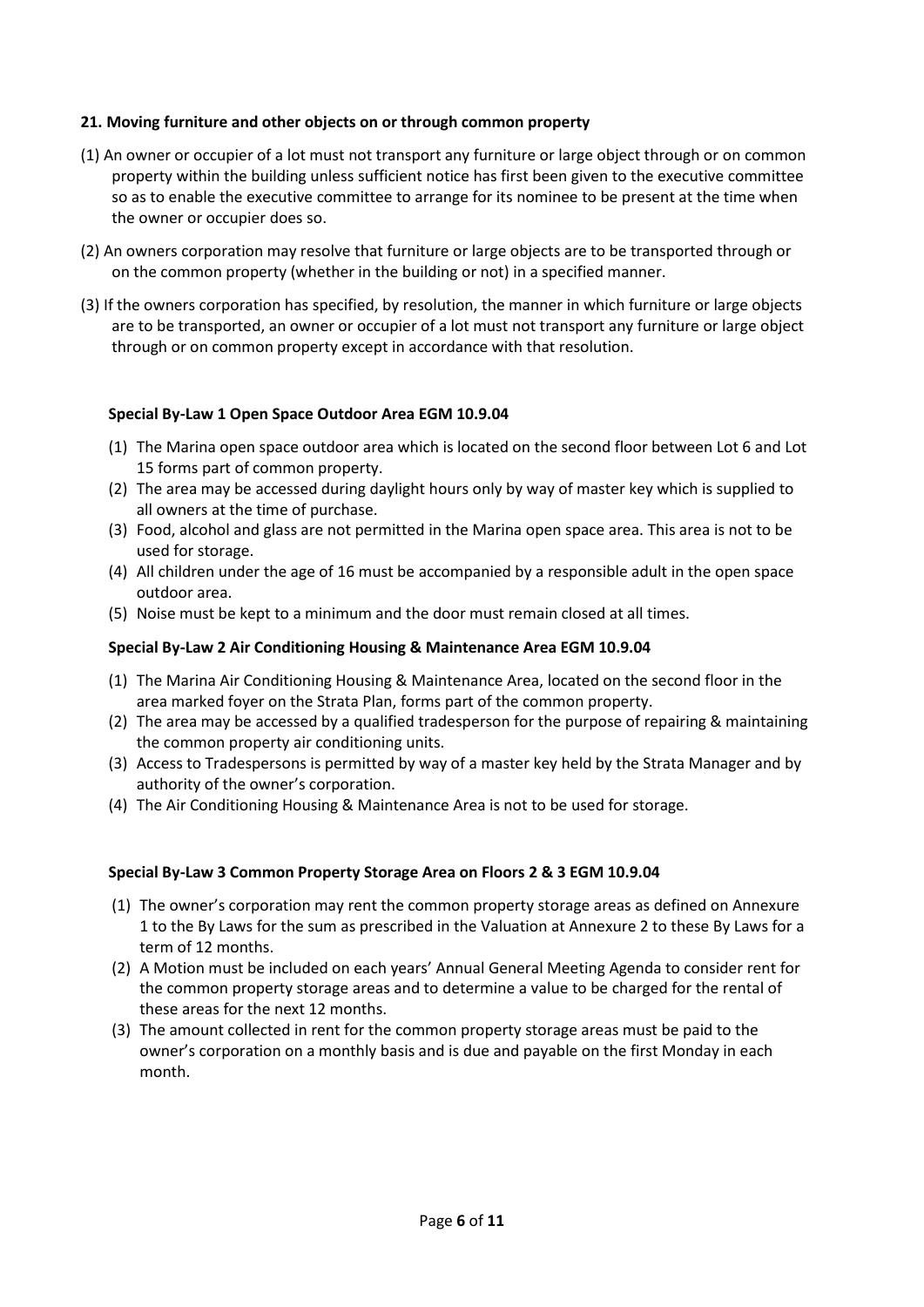## **21. Moving furniture and other objects on or through common property**

- (1) An owner or occupier of a lot must not transport any furniture or large object through or on common property within the building unless sufficient notice has first been given to the executive committee so as to enable the executive committee to arrange for its nominee to be present at the time when the owner or occupier does so.
- (2) An owners corporation may resolve that furniture or large objects are to be transported through or on the common property (whether in the building or not) in a specified manner.
- (3) If the owners corporation has specified, by resolution, the manner in which furniture or large objects are to be transported, an owner or occupier of a lot must not transport any furniture or large object through or on common property except in accordance with that resolution.

### **Special By-Law 1 Open Space Outdoor Area EGM 10.9.04**

- (1) The Marina open space outdoor area which is located on the second floor between Lot 6 and Lot 15 forms part of common property.
- (2) The area may be accessed during daylight hours only by way of master key which is supplied to all owners at the time of purchase.
- (3) Food, alcohol and glass are not permitted in the Marina open space area. This area is not to be used for storage.
- (4) All children under the age of 16 must be accompanied by a responsible adult in the open space outdoor area.
- (5) Noise must be kept to a minimum and the door must remain closed at all times.

### **Special By-Law 2 Air Conditioning Housing & Maintenance Area EGM 10.9.04**

- (1) The Marina Air Conditioning Housing & Maintenance Area, located on the second floor in the area marked foyer on the Strata Plan, forms part of the common property.
- (2) The area may be accessed by a qualified tradesperson for the purpose of repairing & maintaining the common property air conditioning units.
- (3) Access to Tradespersons is permitted by way of a master key held by the Strata Manager and by authority of the owner's corporation.
- (4) The Air Conditioning Housing & Maintenance Area is not to be used for storage.

### **Special By-Law 3 Common Property Storage Area on Floors 2 & 3 EGM 10.9.04**

- (1) The owner's corporation may rent the common property storage areas as defined on Annexure 1 to the By Laws for the sum as prescribed in the Valuation at Annexure 2 to these By Laws for a term of 12 months.
- (2) A Motion must be included on each years' Annual General Meeting Agenda to consider rent for the common property storage areas and to determine a value to be charged for the rental of these areas for the next 12 months.
- (3) The amount collected in rent for the common property storage areas must be paid to the owner's corporation on a monthly basis and is due and payable on the first Monday in each month.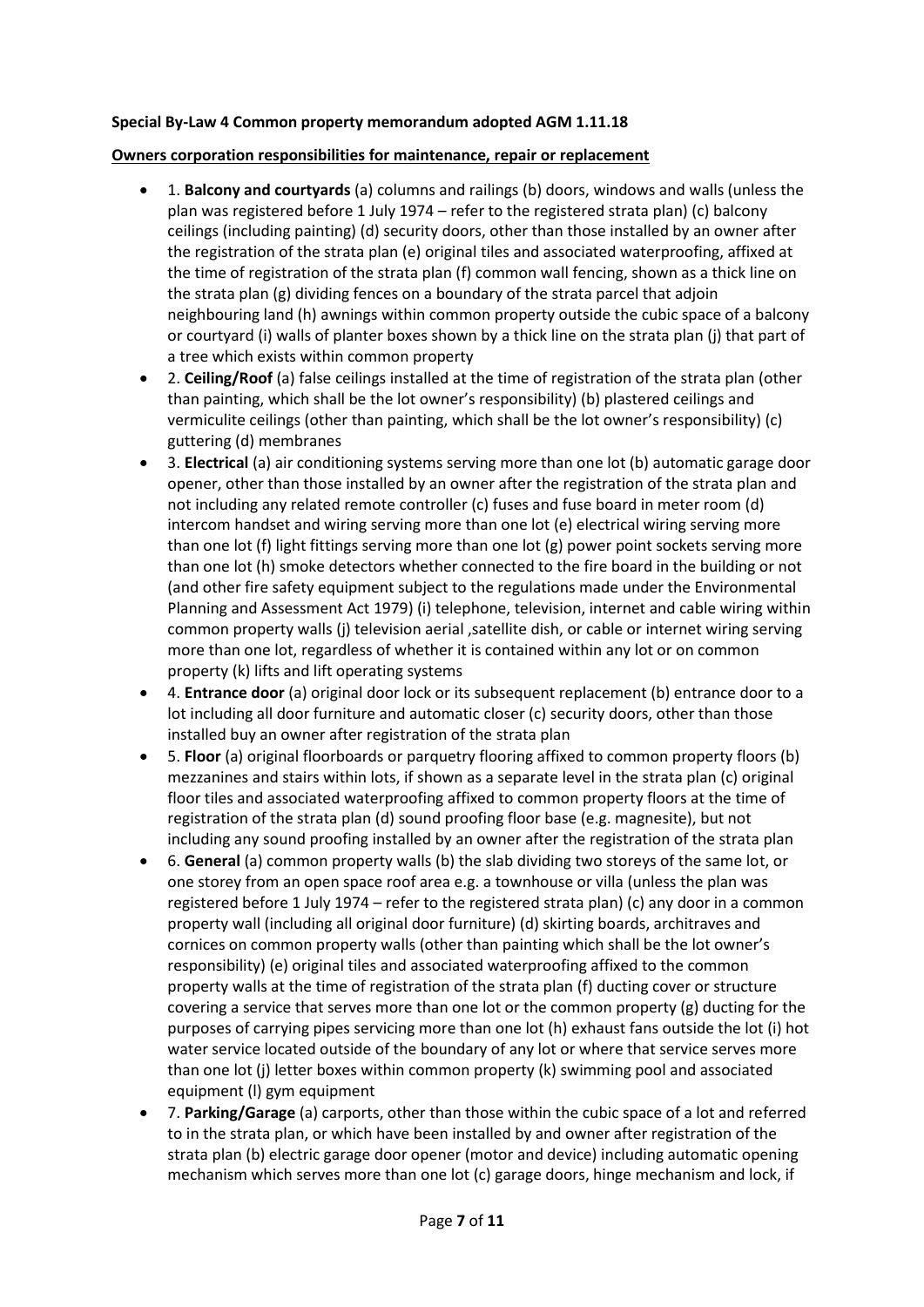## **Special By-Law 4 Common property memorandum adopted AGM 1.11.18**

### **Owners corporation responsibilities for maintenance, repair or replacement**

- 1. **Balcony and courtyards** (a) columns and railings (b) doors, windows and walls (unless the plan was registered before 1 July 1974 – refer to the registered strata plan) (c) balcony ceilings (including painting) (d) security doors, other than those installed by an owner after the registration of the strata plan (e) original tiles and associated waterproofing, affixed at the time of registration of the strata plan (f) common wall fencing, shown as a thick line on the strata plan (g) dividing fences on a boundary of the strata parcel that adjoin neighbouring land (h) awnings within common property outside the cubic space of a balcony or courtyard (i) walls of planter boxes shown by a thick line on the strata plan (j) that part of a tree which exists within common property
- 2. **Ceiling/Roof** (a) false ceilings installed at the time of registration of the strata plan (other than painting, which shall be the lot owner's responsibility) (b) plastered ceilings and vermiculite ceilings (other than painting, which shall be the lot owner's responsibility) (c) guttering (d) membranes
- 3. **Electrical** (a) air conditioning systems serving more than one lot (b) automatic garage door opener, other than those installed by an owner after the registration of the strata plan and not including any related remote controller (c) fuses and fuse board in meter room (d) intercom handset and wiring serving more than one lot (e) electrical wiring serving more than one lot (f) light fittings serving more than one lot (g) power point sockets serving more than one lot (h) smoke detectors whether connected to the fire board in the building or not (and other fire safety equipment subject to the regulations made under the Environmental Planning and Assessment Act 1979) (i) telephone, television, internet and cable wiring within common property walls (j) television aerial ,satellite dish, or cable or internet wiring serving more than one lot, regardless of whether it is contained within any lot or on common property (k) lifts and lift operating systems
- 4. **Entrance door** (a) original door lock or its subsequent replacement (b) entrance door to a lot including all door furniture and automatic closer (c) security doors, other than those installed buy an owner after registration of the strata plan
- 5. **Floor** (a) original floorboards or parquetry flooring affixed to common property floors (b) mezzanines and stairs within lots, if shown as a separate level in the strata plan (c) original floor tiles and associated waterproofing affixed to common property floors at the time of registration of the strata plan (d) sound proofing floor base (e.g. magnesite), but not including any sound proofing installed by an owner after the registration of the strata plan
- 6. **General** (a) common property walls (b) the slab dividing two storeys of the same lot, or one storey from an open space roof area e.g. a townhouse or villa (unless the plan was registered before 1 July 1974 – refer to the registered strata plan) (c) any door in a common property wall (including all original door furniture) (d) skirting boards, architraves and cornices on common property walls (other than painting which shall be the lot owner's responsibility) (e) original tiles and associated waterproofing affixed to the common property walls at the time of registration of the strata plan (f) ducting cover or structure covering a service that serves more than one lot or the common property (g) ducting for the purposes of carrying pipes servicing more than one lot (h) exhaust fans outside the lot (i) hot water service located outside of the boundary of any lot or where that service serves more than one lot (j) letter boxes within common property (k) swimming pool and associated equipment (l) gym equipment
- 7. **Parking/Garage** (a) carports, other than those within the cubic space of a lot and referred to in the strata plan, or which have been installed by and owner after registration of the strata plan (b) electric garage door opener (motor and device) including automatic opening mechanism which serves more than one lot (c) garage doors, hinge mechanism and lock, if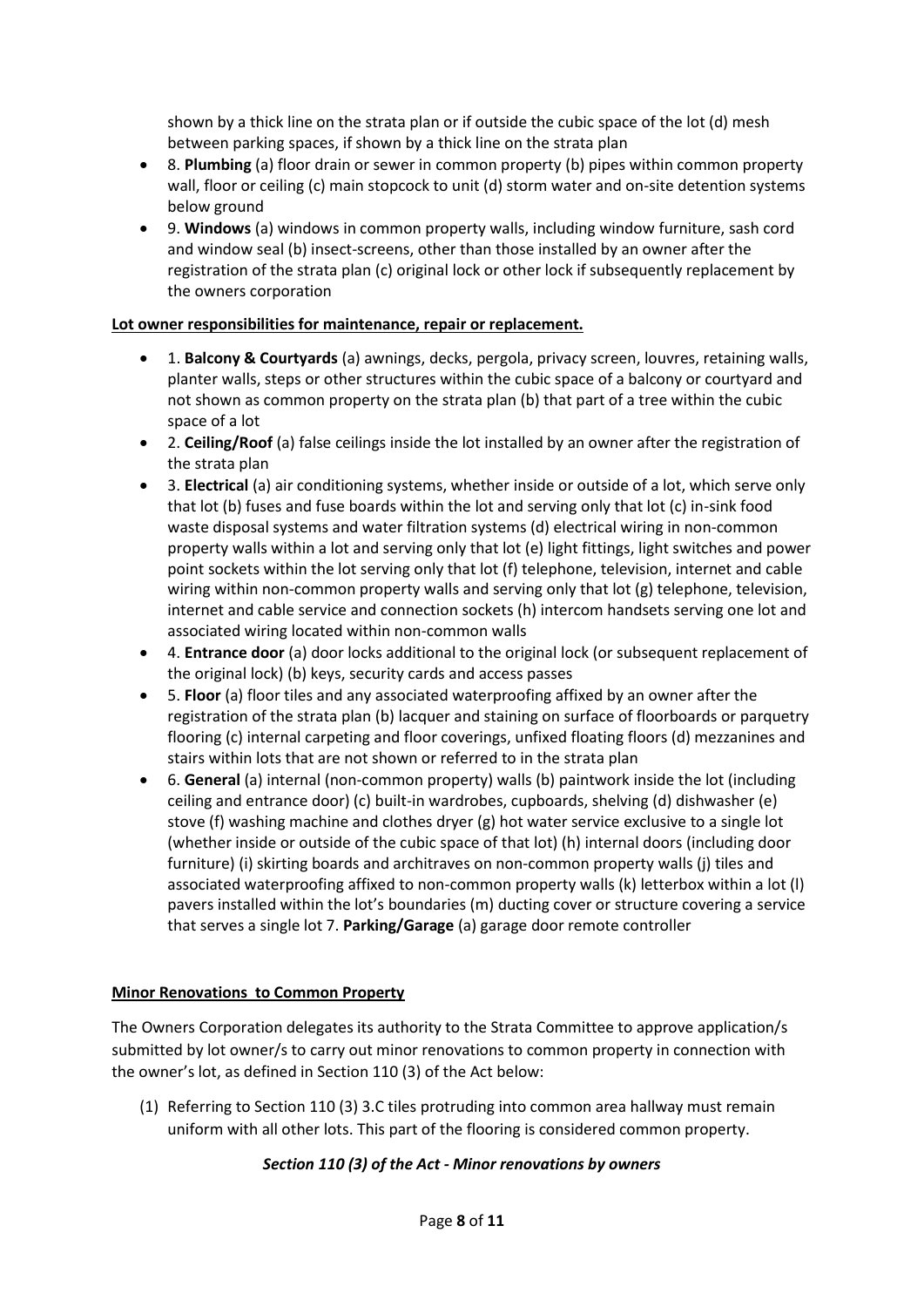shown by a thick line on the strata plan or if outside the cubic space of the lot (d) mesh between parking spaces, if shown by a thick line on the strata plan

- 8. **Plumbing** (a) floor drain or sewer in common property (b) pipes within common property wall, floor or ceiling (c) main stopcock to unit (d) storm water and on-site detention systems below ground
- 9. **Windows** (a) windows in common property walls, including window furniture, sash cord and window seal (b) insect-screens, other than those installed by an owner after the registration of the strata plan (c) original lock or other lock if subsequently replacement by the owners corporation

# **Lot owner responsibilities for maintenance, repair or replacement.**

- 1. **Balcony & Courtyards** (a) awnings, decks, pergola, privacy screen, louvres, retaining walls, planter walls, steps or other structures within the cubic space of a balcony or courtyard and not shown as common property on the strata plan (b) that part of a tree within the cubic space of a lot
- 2. **Ceiling/Roof** (a) false ceilings inside the lot installed by an owner after the registration of the strata plan
- 3. **Electrical** (a) air conditioning systems, whether inside or outside of a lot, which serve only that lot (b) fuses and fuse boards within the lot and serving only that lot (c) in-sink food waste disposal systems and water filtration systems (d) electrical wiring in non-common property walls within a lot and serving only that lot (e) light fittings, light switches and power point sockets within the lot serving only that lot (f) telephone, television, internet and cable wiring within non-common property walls and serving only that lot (g) telephone, television, internet and cable service and connection sockets (h) intercom handsets serving one lot and associated wiring located within non-common walls
- 4. **Entrance door** (a) door locks additional to the original lock (or subsequent replacement of the original lock) (b) keys, security cards and access passes
- 5. **Floor** (a) floor tiles and any associated waterproofing affixed by an owner after the registration of the strata plan (b) lacquer and staining on surface of floorboards or parquetry flooring (c) internal carpeting and floor coverings, unfixed floating floors (d) mezzanines and stairs within lots that are not shown or referred to in the strata plan
- 6. **General** (a) internal (non-common property) walls (b) paintwork inside the lot (including ceiling and entrance door) (c) built-in wardrobes, cupboards, shelving (d) dishwasher (e) stove (f) washing machine and clothes dryer (g) hot water service exclusive to a single lot (whether inside or outside of the cubic space of that lot) (h) internal doors (including door furniture) (i) skirting boards and architraves on non-common property walls (j) tiles and associated waterproofing affixed to non-common property walls (k) letterbox within a lot (l) pavers installed within the lot's boundaries (m) ducting cover or structure covering a service that serves a single lot 7. **Parking/Garage** (a) garage door remote controller

# **Minor Renovations to Common Property**

The Owners Corporation delegates its authority to the Strata Committee to approve application/s submitted by lot owner/s to carry out minor renovations to common property in connection with the owner's lot, as defined in Section 110 (3) of the Act below:

(1) Referring to Section 110 (3) 3.C tiles protruding into common area hallway must remain uniform with all other lots. This part of the flooring is considered common property.

# *Section 110 (3) of the Act - Minor renovations by owners*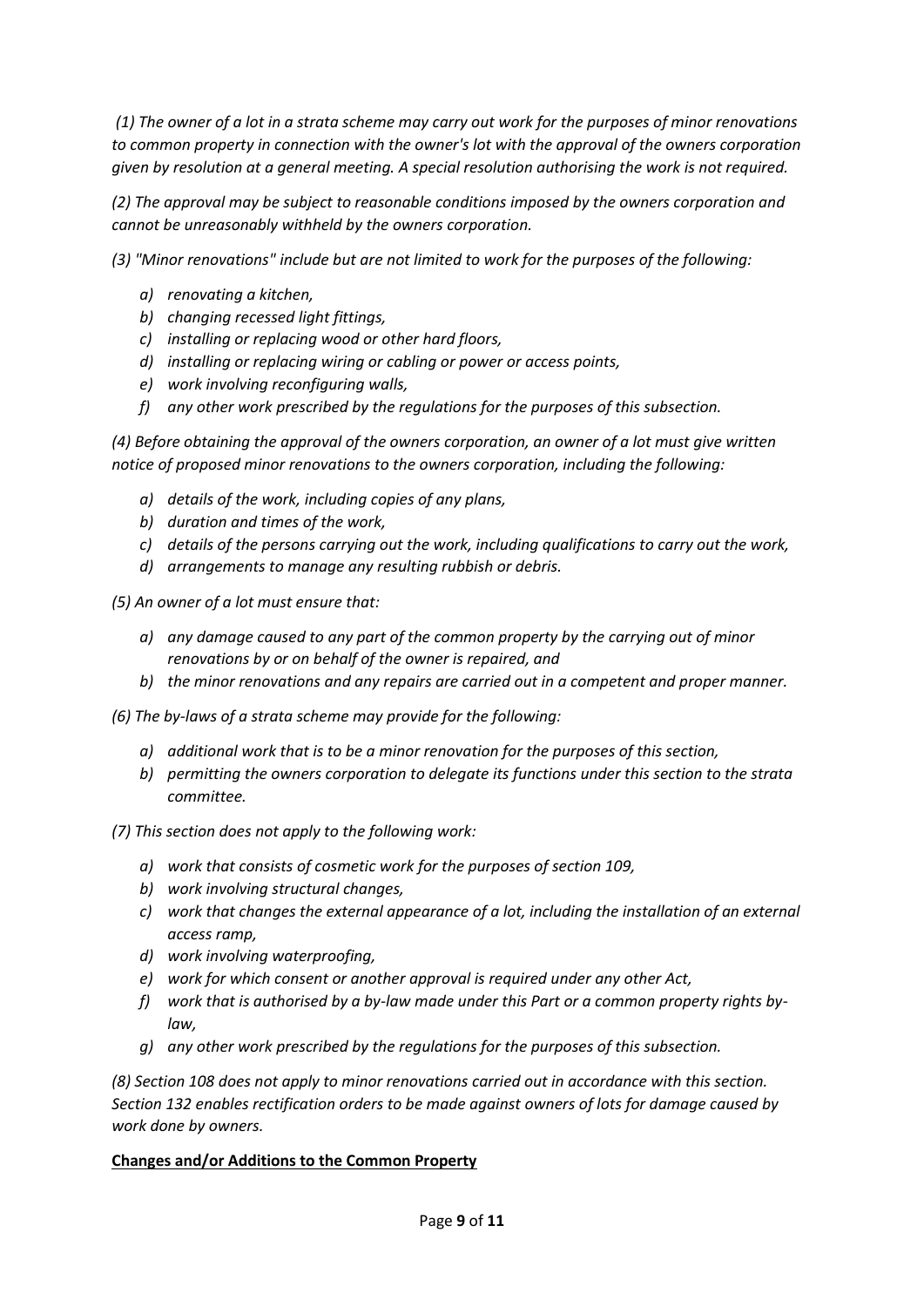*(1) The owner of a lot in a strata scheme may carry out work for the purposes of minor renovations to common property in connection with the owner's lot with the approval of the owners corporation given by resolution at a general meeting. A special resolution authorising the work is not required.* 

*(2) The approval may be subject to reasonable conditions imposed by the owners corporation and cannot be unreasonably withheld by the owners corporation.* 

*(3) "Minor renovations" include but are not limited to work for the purposes of the following:* 

- *a) renovating a kitchen,*
- *b) changing recessed light fittings,*
- *c) installing or replacing wood or other hard floors,*
- *d) installing or replacing wiring or cabling or power or access points,*
- *e) work involving reconfiguring walls,*
- *f) any other work prescribed by the regulations for the purposes of this subsection.*

*(4) Before obtaining the approval of the owners corporation, an owner of a lot must give written notice of proposed minor renovations to the owners corporation, including the following:* 

- *a) details of the work, including copies of any plans,*
- *b) duration and times of the work,*
- *c) details of the persons carrying out the work, including qualifications to carry out the work,*
- *d) arrangements to manage any resulting rubbish or debris.*

*(5) An owner of a lot must ensure that:* 

- *a) any damage caused to any part of the common property by the carrying out of minor renovations by or on behalf of the owner is repaired, and*
- *b) the minor renovations and any repairs are carried out in a competent and proper manner.*

*(6) The by-laws of a strata scheme may provide for the following:* 

- *a) additional work that is to be a minor renovation for the purposes of this section,*
- *b) permitting the owners corporation to delegate its functions under this section to the strata committee.*

*(7) This section does not apply to the following work:* 

- *a) work that consists of cosmetic work for the purposes of section 109,*
- *b) work involving structural changes,*
- *c) work that changes the external appearance of a lot, including the installation of an external access ramp,*
- *d) work involving waterproofing,*
- *e) work for which consent or another approval is required under any other Act,*
- *f) work that is authorised by a by-law made under this Part or a common property rights bylaw,*
- *g) any other work prescribed by the regulations for the purposes of this subsection.*

*(8) Section 108 does not apply to minor renovations carried out in accordance with this section. Section 132 enables rectification orders to be made against owners of lots for damage caused by work done by owners.*

# **Changes and/or Additions to the Common Property**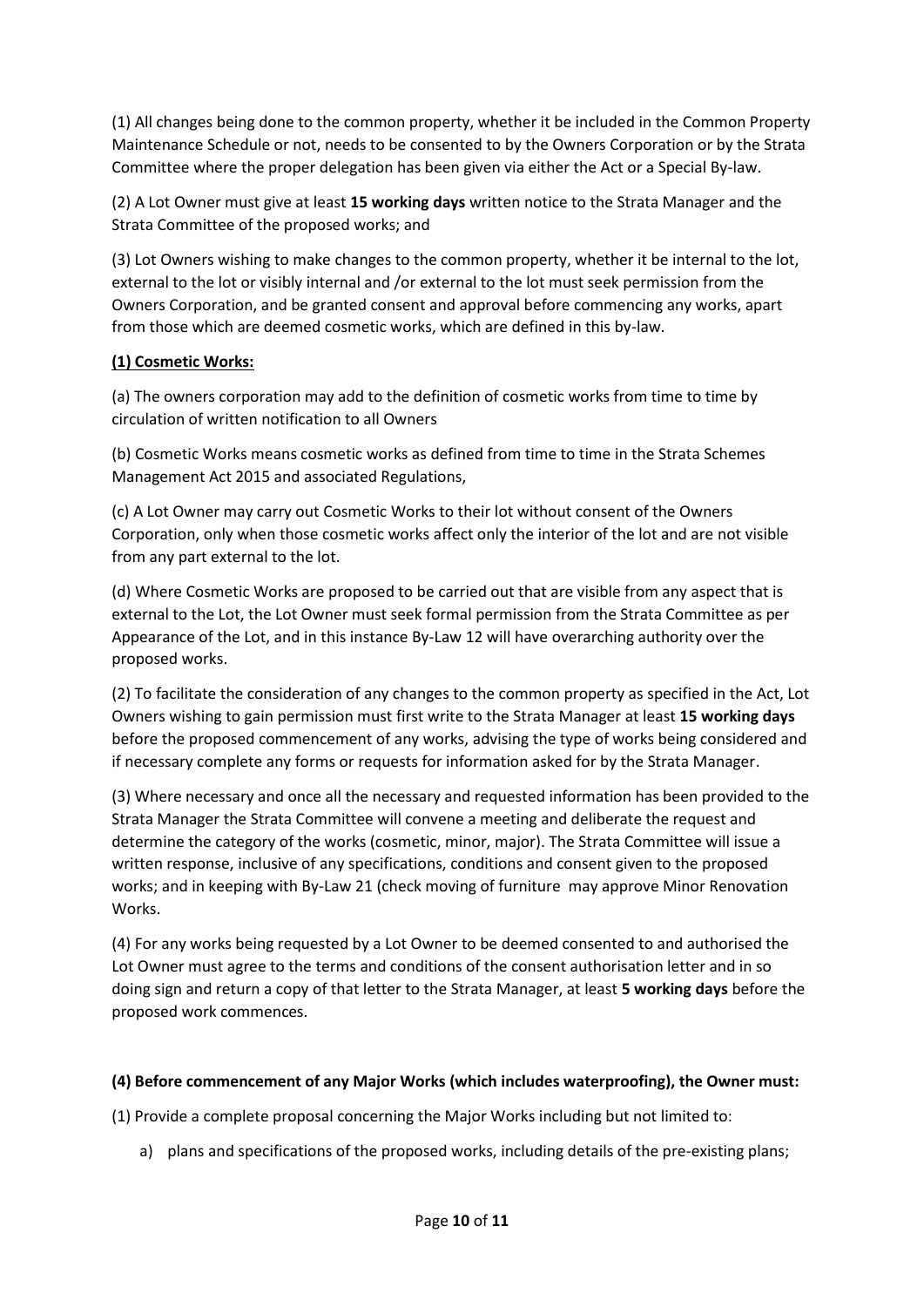(1) All changes being done to the common property, whether it be included in the Common Property Maintenance Schedule or not, needs to be consented to by the Owners Corporation or by the Strata Committee where the proper delegation has been given via either the Act or a Special By-law.

(2) A Lot Owner must give at least **15 working days** written notice to the Strata Manager and the Strata Committee of the proposed works; and

(3) Lot Owners wishing to make changes to the common property, whether it be internal to the lot, external to the lot or visibly internal and /or external to the lot must seek permission from the Owners Corporation, and be granted consent and approval before commencing any works, apart from those which are deemed cosmetic works, which are defined in this by-law.

# **(1) Cosmetic Works:**

(a) The owners corporation may add to the definition of cosmetic works from time to time by circulation of written notification to all Owners

(b) Cosmetic Works means cosmetic works as defined from time to time in the Strata Schemes Management Act 2015 and associated Regulations,

(c) A Lot Owner may carry out Cosmetic Works to their lot without consent of the Owners Corporation, only when those cosmetic works affect only the interior of the lot and are not visible from any part external to the lot.

(d) Where Cosmetic Works are proposed to be carried out that are visible from any aspect that is external to the Lot, the Lot Owner must seek formal permission from the Strata Committee as per Appearance of the Lot, and in this instance By-Law 12 will have overarching authority over the proposed works.

(2) To facilitate the consideration of any changes to the common property as specified in the Act, Lot Owners wishing to gain permission must first write to the Strata Manager at least **15 working days** before the proposed commencement of any works, advising the type of works being considered and if necessary complete any forms or requests for information asked for by the Strata Manager.

(3) Where necessary and once all the necessary and requested information has been provided to the Strata Manager the Strata Committee will convene a meeting and deliberate the request and determine the category of the works (cosmetic, minor, major). The Strata Committee will issue a written response, inclusive of any specifications, conditions and consent given to the proposed works; and in keeping with By-Law 21 (check moving of furniture may approve Minor Renovation Works.

(4) For any works being requested by a Lot Owner to be deemed consented to and authorised the Lot Owner must agree to the terms and conditions of the consent authorisation letter and in so doing sign and return a copy of that letter to the Strata Manager, at least **5 working days** before the proposed work commences.

# **(4) Before commencement of any Major Works (which includes waterproofing), the Owner must:**

(1) Provide a complete proposal concerning the Major Works including but not limited to:

a) plans and specifications of the proposed works, including details of the pre-existing plans;